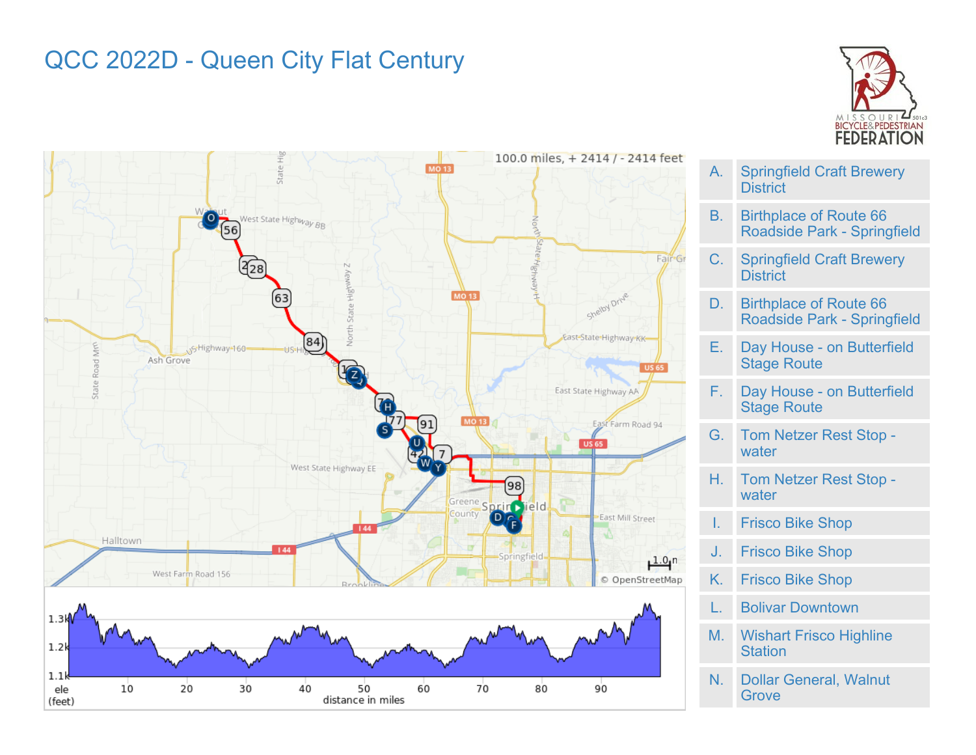## QCC 2022D - Queen City Flat Century





- A. Springfield Craft Brewery **District**
- B. Birthplace of Route 66 Roadside Park - Springfield
- C. Springfield Craft Brewery **District**
- D. Birthplace of Route 66 Roadside Park - Springfield
- E. Day House on Butterfield Stage Route
- F. Day House on Butterfield Stage Route
- G. Tom Netzer Rest Stop water
- H. Tom Netzer Rest Stop water
- I. Frisco Bike Shop
- J. Frisco Bike Shop
- K. Frisco Bike Shop
- L. Bolivar Downtown
- M. Wishart Frisco Highline **Station**
- N. Dollar General, Walnut **Grove**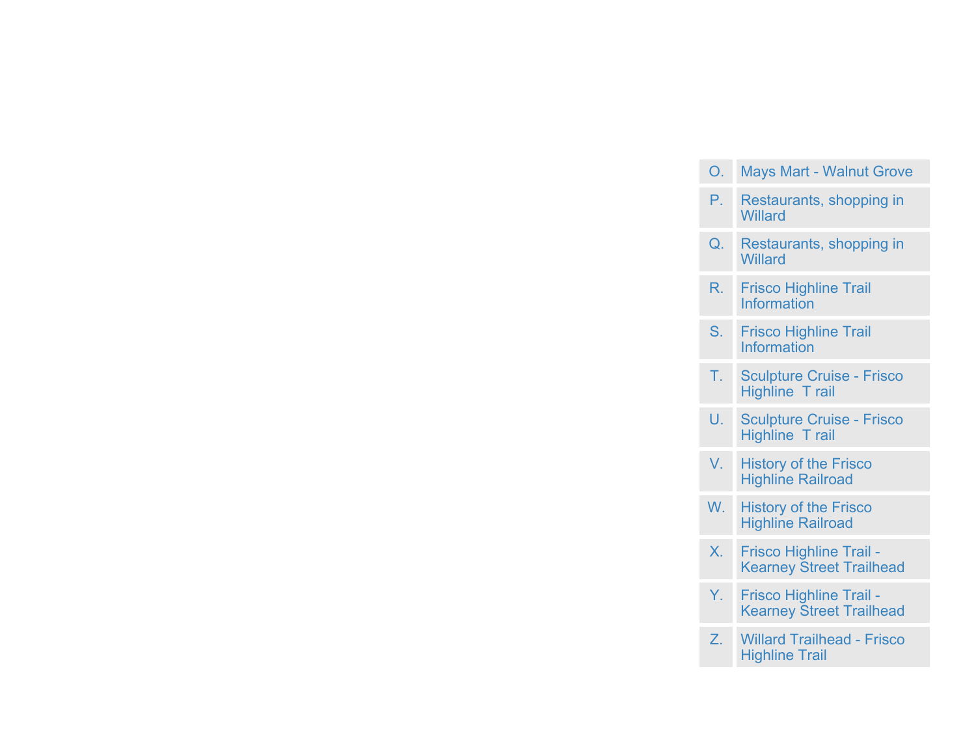| O.             | <b>Mays Mart - Walnut Grove</b>                            |
|----------------|------------------------------------------------------------|
| Р.             | Restaurants, shopping in<br>Willard                        |
| $Q_{1}$        | Restaurants, shopping in<br><b>Willard</b>                 |
| R.             | <b>Frisco Highline Trail</b><br><b>Information</b>         |
| S <sub>1</sub> | <b>Frisco Highline Trail</b><br><b>Information</b>         |
| T.             | <b>Sculpture Cruise - Frisco</b><br><b>Highline Trail</b>  |
| U.             | <b>Sculpture Cruise - Frisco</b><br><b>Highline Trail</b>  |
| V.             | <b>History of the Frisco</b><br><b>Highline Railroad</b>   |
| W.             | <b>History of the Frisco</b><br><b>Highline Railroad</b>   |
| $X_{1}$        | Frisco Highline Trail -<br><b>Kearney Street Trailhead</b> |
| Ÿ.             | Frisco Highline Trail -<br><b>Kearney Street Trailhead</b> |
| Z.             | <b>Willard Trailhead - Frisco</b><br><b>Highline Trail</b> |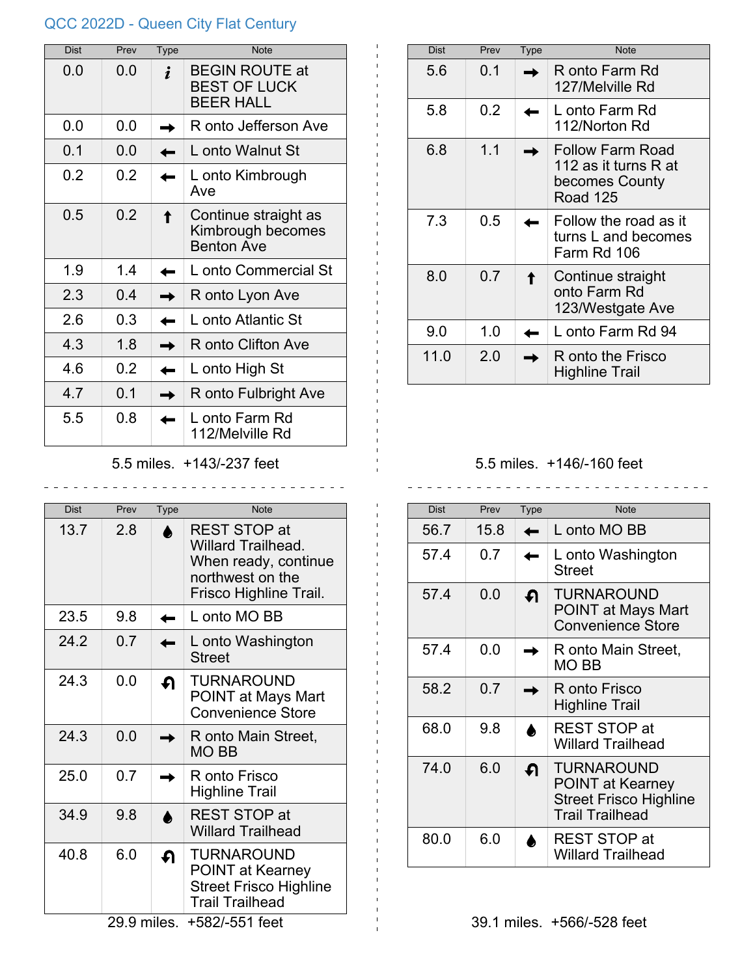## QCC 2022D - Queen City Flat Century

| <b>Dist</b> | Prev | Type | <b>Note</b>                                                      |
|-------------|------|------|------------------------------------------------------------------|
| 0.0         | 0.0  |      | <b>BEGIN ROUTE at</b><br><b>BEST OF LUCK</b><br><b>BEER HALL</b> |
| 0.0         | 0.0  |      | R onto Jefferson Ave                                             |
| 0.1         | 0.0  |      | L onto Walnut St                                                 |
| 0.2         | 0.2  |      | L onto Kimbrough<br>Ave                                          |
| 0.5         | 0.2  |      | Continue straight as<br>Kimbrough becomes<br><b>Benton Ave</b>   |
| 1.9         | 1.4  |      | L onto Commercial St                                             |
| 2.3         | 0 4  |      | R onto Lyon Ave                                                  |
| 2.6         | 0.3  |      | L onto Atlantic St                                               |
| 4.3         | 1.8  |      | R onto Clifton Ave                                               |
| 4.6         | 0.2  |      | L onto High St                                                   |
| 4.7         | 0 1  |      | R onto Fulbright Ave                                             |
| 5.5         | 0.8  |      | L onto Farm Rd<br>112/Melville Rd                                |

5.5 miles. +143/-237 feet

\_\_\_\_\_\_\_\_\_\_\_\_\_\_\_\_\_\_\_\_\_\_\_\_\_\_\_\_\_\_\_

| <b>Dist</b>                   | Prev | Type | <b>Note</b>                                                                                                            |  |
|-------------------------------|------|------|------------------------------------------------------------------------------------------------------------------------|--|
| 13.7                          | 2.8  |      | <b>REST STOP at</b><br><b>Willard Trailhead.</b><br>When ready, continue<br>northwest on the<br>Frisco Highline Trail. |  |
| 23.5                          | 9.8  |      | L onto MO BB                                                                                                           |  |
| 24.2                          | 0.7  |      | L onto Washington<br><b>Street</b>                                                                                     |  |
| 24.3                          | 0.0  | ብ    | <b>TURNAROUND</b><br>POINT at Mays Mart<br><b>Convenience Store</b>                                                    |  |
| 24.3                          | 0.0  |      | R onto Main Street,<br>MO BB                                                                                           |  |
| 25.0                          | 0.7  |      | R onto Frisco<br>Highline Trail                                                                                        |  |
| 34.9                          | 9.8  |      | <b>REST STOP at</b><br><b>Willard Trailhead</b>                                                                        |  |
| 40.8                          | 6.0  | ∩    | <b>TURNAROUND</b><br><b>POINT at Kearney</b><br><b>Street Frisco Highline</b><br><b>Trail Trailhead</b>                |  |
| 29.9 miles.<br>+582/-551 feet |      |      |                                                                                                                        |  |

| Dist | Prev | <b>Type</b> | <b>Note</b>                                                                   |
|------|------|-------------|-------------------------------------------------------------------------------|
| 5.6  | 0 1  |             | R onto Farm Rd<br>127/Melville Rd                                             |
| 5.8  | 0.2  |             | L onto Farm Rd<br>112/Norton Rd                                               |
| 6.8  | 1.1  |             | Follow Farm Road<br>112 as it turns R at<br>becomes County<br><b>Road 125</b> |
| 7.3  | 0.5  |             | Follow the road as it<br>turns L and becomes<br>Farm Rd 106                   |
| 8.0  | 0.7  |             | Continue straight<br>onto Farm Rd<br>123/Westgate Ave                         |
| 9.0  | 1.0  |             | L onto Farm Rd 94                                                             |
| 11.0 | 2.0  |             | R onto the Frisco<br><b>Highline Trail</b>                                    |

## 5.5 miles. +146/-160 feet

 $\frac{1}{2}$  .  $\frac{1}{2}$  .  $\frac{1}{2}$  .  $\frac{1}{2}$  .  $\frac{1}{2}$  .  $\frac{1}{2}$  .  $\frac{1}{2}$ 

| Dist | Prev | Type     | <b>Note</b>                                                                                             |
|------|------|----------|---------------------------------------------------------------------------------------------------------|
| 56.7 | 15.8 |          | L onto MO BB                                                                                            |
| 57.4 | 0.7  |          | L onto Washington<br>Street                                                                             |
| 57.4 | 0.0  | ∩        | TURNAROUND<br><b>POINT at Mays Mart</b><br><b>Convenience Store</b>                                     |
| 57.4 | 0.0  |          | R onto Main Street,<br>MO BB                                                                            |
| 58.2 | 0.7  |          | R onto Frisco<br><b>Highline Trail</b>                                                                  |
| 68.0 | 9.8  |          | <b>REST STOP at</b><br><b>Willard Trailhead</b>                                                         |
| 74.0 | 6.0  | $\Omega$ | <b>TURNAROUND</b><br><b>POINT at Kearney</b><br><b>Street Frisco Highline</b><br><b>Trail Trailhead</b> |
| 80.0 | 6.0  |          | <b>REST STOP at</b><br><b>Willard Trailhead</b>                                                         |